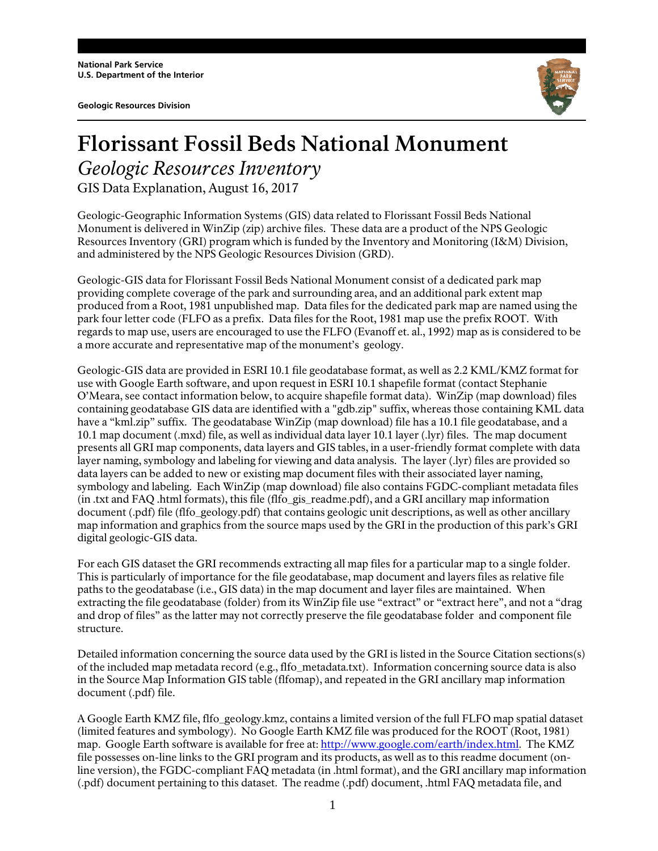**National Park Service U.S. Department of the Interior** 

**Geologic Resources Division** 



## **Florissant Fossil Beds National Monument** *Geologic Resources Inventory*

GIS Data Explanation, August 16, 2017

Geologic-Geographic Information Systems (GIS) data related to Florissant Fossil Beds National Monument is delivered in WinZip (zip) archive files. These data are a product of the NPS Geologic Resources Inventory (GRI) program which is funded by the Inventory and Monitoring (I&M) Division, and administered by the NPS Geologic Resources Division (GRD).

Geologic-GIS data for Florissant Fossil Beds National Monument consist of a dedicated park map providing complete coverage of the park and surrounding area, and an additional park extent map produced from a Root, 1981 unpublished map. Data files for the dedicated park map are named using the park four letter code (FLFO as a prefix. Data files for the Root, 1981 map use the prefix ROOT. With regards to map use, users are encouraged to use the FLFO (Evanoff et. al., 1992) map as is considered to be a more accurate and representative map of the monument's geology.

Geologic-GIS data are provided in ESRI 10.1 file geodatabase format, as well as 2.2 KML/KMZ format for use with Google Earth software, and upon request in ESRI 10.1 shapefile format (contact Stephanie O'Meara, see contact information below, to acquire shapefile format data). WinZip (map download) files containing geodatabase GIS data are identified with a "gdb.zip" suffix, whereas those containing KML data have a "kml.zip" suffix. The geodatabase WinZip (map download) file has a 10.1 file geodatabase, and a 10.1 map document (.mxd) file, as well as individual data layer 10.1 layer (.lyr) files. The map document presents all GRI map components, data layers and GIS tables, in a user-friendly format complete with data layer naming, symbology and labeling for viewing and data analysis. The layer (.lyr) files are provided so data layers can be added to new or existing map document files with their associated layer naming, symbology and labeling. Each WinZip (map download) file also contains FGDC-compliant metadata files (in .txt and FAQ .html formats), this file (flfo\_gis\_readme.pdf), and a GRI ancillary map information document (.pdf) file (flfo\_geology.pdf) that contains geologic unit descriptions, as well as other ancillary map information and graphics from the source maps used by the GRI in the production of this park's GRI digital geologic-GIS data.

For each GIS dataset the GRI recommends extracting all map files for a particular map to a single folder. This is particularly of importance for the file geodatabase, map document and layers files as relative file paths to the geodatabase (i.e., GIS data) in the map document and layer files are maintained. When extracting the file geodatabase (folder) from its WinZip file use "extract" or "extract here", and not a "drag and drop of files" as the latter may not correctly preserve the file geodatabase folder and component file structure.

Detailed information concerning the source data used by the GRI is listed in the Source Citation sections(s) of the included map metadata record (e.g., flfo\_metadata.txt). Information concerning source data is also in the Source Map Information GIS table (flfomap), and repeated in the GRI ancillary map information document (.pdf) file.

A Google Earth KMZ file, flfo\_geology.kmz, contains a limited version of the full FLFO map spatial dataset (limited features and symbology). No Google Earth KMZ file was produced for the ROOT (Root, 1981) map. Google Earth software is available for free at: http://www.google.com/earth/index.html. The KMZ file possesses on-line links to the GRI program and its products, as well as to this readme document (online version), the FGDC-compliant FAQ metadata (in .html format), and the GRI ancillary map information (.pdf) document pertaining to this dataset. The readme (.pdf) document, .html FAQ metadata file, and